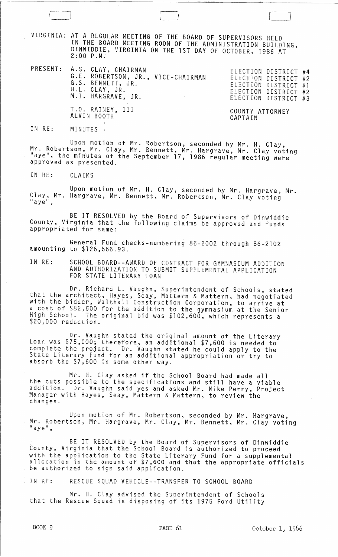VIRGINIA: AT A REGULAR MEETING OF THE BOARD OF SUPERVISORS HELD IN THE BOARD MEETING ROOM OF THE ADMINISTRATION BUILDING, DINWIDDIE, VIRGINIA ON THE 1ST DAY OF OCTOBER, 1986 AT 2:00 P.M.·

PRESENT: A.S. CLAY, CHAIRMAN ELECTION DISTRICT #4 G.E. ROBERTSON, JR., VICE-CHAIRMAN G.S. BENNETT, JR. H.L. CLAY, JR. M.l. HARGRAVE, JR.

ELECTION DISTRICT #2 ELECTION DISTRICT #1 ELECTION DISTRICT #2 ELECTION DISTRICT #3

 $\Box$ 

T.O. RAINEY, III ALVIN BOOTH

COUNTY ATTORNEY CAPTAIN

IN RE: MINUTES :

Upon motion of Mr. Robertson, seconded by Mr. H. Clay, Mr. Robertson, Mr. Clay, Mr. Bennett, Mr. Hargrave, Mr. Clay voting "aye", the minutes of the September 17, 1986 regular meeting were approved as presented.

IN RE: CLAIMS

Upon motion of Mr. H. Clay, seconded by Mr. Hargrave, Mr. Clay, Mr. Hargrave, Mr. Bennett, Mr. Robertson, Mr. Clay voting<br>"aye",

BE IT RESOLVED by the Board of Supervisors of Dinwiddie County, Virginia that the following claims be approved and funds appropriated for same:

General Fund checks-numbering 86-2002 through 86-2102 amounting to \$126,566.93.

IN RE: SCHOOL BOARD--AWARD OF CONTRACT FOR GYMNASIUM ADDITION AND AUTHORIZATION TO SUBMIT SUPPLEMENTAL APPLICATION FOR STATE LITERARY LOAN

Dr. Richard L. Vaughn, Superintendent of Schools, stated that the architect, Hayes, Seay, Mattern & Mattern, had negotiated with the bidder, Walthall Construction Corporation, to ariive at a cost of \$82,600 for the addition to the gymnasium at the Senior High School. The original bid was \$102,600, which represents a \$20,000 reduction.

Dr. Vaughn stated the original amount of the Literary Loan was \$75,000; therefore, an additional \$7,600 is needed to complete the project. Dr. Vaughn stated he could apply to the State Literary Fund for an additional appropriation or try to absorb the \$7,600 in some other way.

Mr. H. Clay asked if the School Board had made all the cuts possible to the specifications and still have a viable addition. Dr. Vaughn said yes and asked Mr. Mike Perry, Project Manager with Hayes, Seay, Mattern & Mattern, to review the changes.

Upon motion of Mr. Robertson, seconded by Mr. Hargrave, Mr. Robertson, Mr. Hargrave, Mr. Clay, Mr. Bennett, Mr. Clay voting<br>"aye",

BE IT RESOLVED by the Board of Supervisors of Dinwiddie County, Virginia that the School Board is authorized to proceed with the application to the State Literary Fund for a supplemental<br>allocation in the amount of \$7,600 and that the appropriate officials be authorized to sign said application.

IN RE: RESCUE SQUAD VEHICLE--TRANSFER TO SCHOOL BOARD

Mr. H. Clay advised the Superintendent of Schools that the Rescue Squad is disposing of its 1975 Ford Utility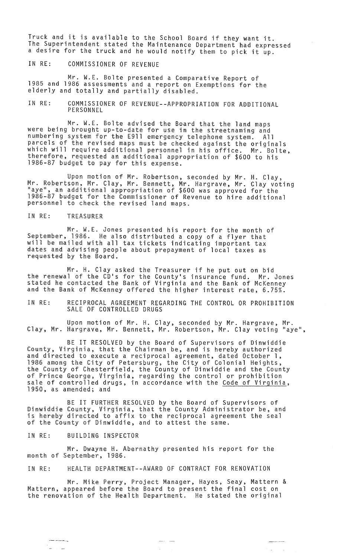Truck and it is available to the School Board if they want it. The Superintendent stated the Maintenance Department had expressed a desire for the truck and he would notify them to pick it up.

IN RE: COMMISSIONER OF REVENUE

Mr. W.E. Bolte presented a Comparative Report of 1985 and 1986 assessments and a report on Exemptions for the elderly and totally and partially disabled.

IN RE: COMMISSIONER OF REVENUE--APPROPRIATIDN FOR ADDITIONAL PERSONNEL

Mr. W.E. Bolte advised the Board that the land maps were being brought up-to-date for use in the streetnaming and numbering system for the E9l1 emergency telephone system. All numbering system for the E911 emergency telephone system. All<br>parcels of the revised maps must be checked against the originals which will require additional personnel in his office. Mr. Bolte, therefore, requested an additional appropriation of \$600 to his 1986-87 budget to pay for this expense.

Upon motion of Mr. Robertson, seconded by Mr. H. Clay, Mr. Robertson, Mr. Clay, Mr. Bennett, Mr. Hargrave, Mr. Clay voting<br>"aye", an additional appropriation of \$600 was approved for the 1986-87 budget for the Commissioner of Revenue to hire additional personnel to check the revised land maps.

IN RE: TREASURER

Mr. W.E. Jones presented his report for the month of September, 1986. He also distributed a copy of a flyer that will be mailed with all tax tickets indicating important tax dates and advising people about prepayment of local taxes as requested by the Board.

Mr. H. Clay asked the Treasurer if he put out on bid the renewal of the CD's for the County's insurance fund. Mr. Jones stated he contacted the Bank of Virginia and the Bank of McKenney and the Bank of McKenney offered the higher interest rate, 6.75%.

IN RE: RECIPROCAL AGREEMENT REGARDING THE CONTROL OR PROHIBITION SALE OF CONTROLLED DRUGS

Upon motion of Mr. H. Clay, seconded by Mr. Hargrave, Mr. Clay, Mr. Hargrave, Mr. Bennett, Mr. Robertson, Mr. Clay voting "aye",

BE IT RESOLVED by the Board of Supervisors of Dinwiddie County, Virginia, that the Chairman be, and is hereby authorized and directed to execute a reciprocal agreement, dated October 1, 1986 among the City of Petersburg, the City of Colonial Heights, the County of Chesterfield, the County of Dinwiddie and the County of Prince George, Virginia, regarding the control or prohibition sale of controlled drugs, in accordance with the Code of Virginia, 1950, as amended; and

BE IT FURTHER RESOLVED by the Board of Supervisors of Dinwiddie County, Virginia, that the County Administrator be, and is hereby directed to affix to the reciprocal agreement the seal of the County of Dinwiddie, and to attest the same.

IN RE: BUILDING INSPECTOR

-------~

Mr. Dwayne H. Abernathy presented his report for the month of September, 1986.

IN RE: HEALTH DEPARTMENT--AWARD OF CONTRACT FOR RENOVATION

Mr. Mike Perry, Project Manager, Hayes, Seay, Mattern & Mattern, appeared before the Board to present the final cost on the renovation of the Health Department. He stated the original

> and come  $\mathbb{R}^3$

 $\sim 100$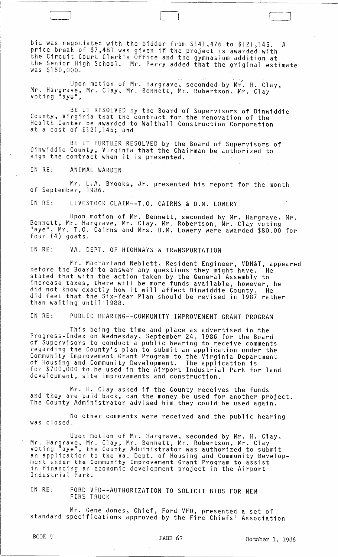bid was negotiated with the bidder from \$141,476 to \$121,145. A price break of \$7,481 was given if the project is awarded with the Circuit Court Clerk·s Office and the gymnasium addition at the Senior High School. Mr. Perry added that the original estimate was \$150,000.

Upon motion of Mr. Hargrave, seconded by Mr. H. Clay,<br>Mr. Hargrave, Mr. Clay, Mr. Bennett, Mr. Robertson, Mr. Clay<br>voting "aye",

BE IT RESOLVED by the Board of Supervisors of Dinwiddie County, Virginia that the contract for the renovation of the Health Center be awarded to Walthall Construction Corporation at a cost of \$121,145; and

BE IT FURTHER RESOLVED by the Board of Supervisors of Dinwiddie County, Virginia that the Chairman be authorized to sign the contract when it is presented.

IN RE: ANIMAL WARDEN

L~

Mr. L.A. Brooks, Jr. presented his report for the month of September, 1986.

IN RE: LIVESTOCK CLAIM--T.O. CAIRNS & D.M. LOWERY

Upon motion of Mr. Bennett, seconded by Mr. Hargrave, Mr. Bennett, Mr. Hargrave, Mr. Clay, Mr. Robertson, Mr. Clay voting "aye", Mr. T.O. Cairns and Mrs. D.M. Lowery were awarded \$80.00 for four (4) goats.

IN RE: VA. DEPT. OF HIGHWAYS & TRANSPORTATION

Mr. MacFarland Neblett, Resident Engineer, VDH&T, appeared<br>before the Board to answer any questions they might have. He stated that with the action taken by the General Assembly to increase taxes, there will be more funds available, however, he did not know exactly how it will affect Dinwiddie County. He did feel that the Six-Year Plan should be revised in 1987 rather than waiting until 1988.

IN RE: PUBLIC HEARING--COMMUNITY IMPROVEMENT GRANT PROGRAM

This being the time and place as advertised in the Progress-Index on Wednesday, September 24, 1986 for the Board of Supervisors to conduct a public hearing to receive comments regarding the County·s plan to submit an application under the Community Improvement Grant Program to the Virginia Department of Housing and Community Development. The application is for \$700,000 to be used in the Airport Industrial Park for land development, site improvements and construction.

Mr. H. Clay asked if the County receives the funds and they are paid back, can the money be used for another project. The County Administrator advised him they could be used again.

No other comments were received and the public hearing was closed.

Upon motion of Mr. Hargrave, seconded by Mr. H. Clay, Mr. Hargrave, Mr. Clay, Mr. Bennett, Mr. Robertson, Mr. Clay<br>voting "aye", the County Administrator was authorized to submit an application to the Va. Dept. of Housing and Community Developan apprication to the rar beptish housing and community bever in financing an economic development project in the Airport<br>Industrial Park.

IN RE: FORD VFD--AUTHORIZATION TO SOLICIT BIDS FOR NEW FIRE TRUCK

Mr. Gene Jones, Chief, Ford VFD, presented a set of standard specifications approved by the Fire Chiefs· Association